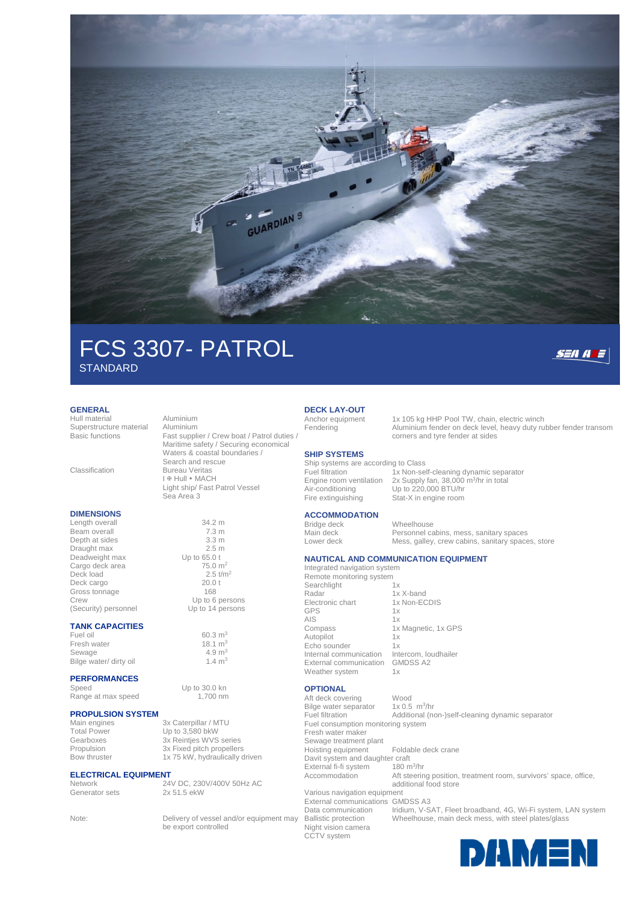

# FCS 3307- PATROL **STANDARD**

Sea Area 3

#### **GENERAL**

Hull material **Aluminium**<br>Superstructure material Aluminium Superstructure material

#### **DIMENSIONS**

Length overall 34.2 m<br>Beam overall 7.3 m Beam overall Depth at sides 3.3 m<br>Draught may 3.5 m Draught max 2.5 m<br>Deadweight max 5.0 t Deadweight max Cargo deck area  $75.0 \text{ m}^2$ <br>Deck load  $2.5 \text{ t/m}^2$ Deck load<br>Deck cargo 2.5 t/m2.5 t/m2.5 t/m2.5 t/m2.5 t/m2.5 t/m2.5 t/m2.5 t/m2.5 t/m2.5 t/m2.5 t/m2.5 t/m2.5 t/m2.5 t/m2. Deck cargo<br>Gross tonnage 20.0<br>168 Gross tonnage (Security) personnel

#### **TANK CAPACITIES**

Fuel oil 60.3 m<sup>3</sup><br>Fresh water 60.3 m<sup>3</sup> 18.1 m<sup>3</sup> Fresh water  $18.1 \text{ m}^3$ <br>Sewage  $4.9 \text{ m}^3$ Sewage  $4.9 \text{ m}^3$ <br>Bilge water/ dirty oil  $1.4 \text{ m}^3$ Bilge water/ dirty oil

#### **PERFORMANCES**

Speed Up to 30.0 kn<br>Range at max speed 1700 nm Range at max speed

# **PROPULSION SYSTEM**

## **ELECTRICAL EQUIPMENT**<br>Network<br>24

Basic functions Fast supplier / Crew boat / Patrol duties / Maritime safety / Securing economical Waters & coastal boundaries / Search and rescue Classification Bureau Veritas I <sub>®</sub> Hull • MACH

Light ship/ Fast Patrol Vessel

Crew Up to 6 persons<br>
(Security) personnel Up to 14 persons

Main engines 3x Caterpillar / MTU<br>Total Power Up to 3,580 bkW  $Up to 3,580$  bkW Gearboxes 3x Reintjes WVS series<br>Propulsion 3x Fixed pitch propellers Propulsion 3x Fixed pitch propellers<br>Bow thruster 1x 75 kW, hydraulically c 1x 75 kW, hydraulically driven

24V DC, 230V/400V 50Hz AC Generator sets 2x 51.5 ekW

Note: Delivery of vessel and/or equipment may be export controlled

#### **DECK LAY-OUT**

#### **SHIP SYSTEMS**

Ship systems are according to Class Air-conditioning Up to 220,000 BTU/hr<br>Fire extinguishing Stat-X in engine room

#### **ACCOMMODATION**

Integrated navigation system

Searchlight 1x Radar 1x X-band<br>Flectronic chart 1x Non-FC GPS 1x AIS 1x<br>Compass 1x Autopilot 1x<br>Echo sounder 1x Echo sounder External communication GMDSS A2 Weather system 1x

### **OPTIONAL**

Aft deck covering Wood Bilge water separator  $1x0.5$  m<sup>3</sup>/hr Fuel filtration Additional (non-)self-cleaning dynamic separator Fuel consumption monitoring system Fresh water maker Sewage treatment plant Hoisting equipment Foldable deck crane Davit system and daughter craft External fi-fi system 180  $m^3/hr$ Accommodation Aft steering position, treatment room, survivors' space, office, additional food store Various navigation equipment External communications GMDSS A3 Data communication Iridium, V-SAT, Fleet broadband, 4G, Wi-Fi system, LAN system

Night vision camera CCTV system

Anchor equipment 1x 105 kg HHP Pool TW, chain, electric winch<br>Fendering Aluminium fender on deck level, heavy duty ru Aluminium fender on deck level, heavy duty rubber fender transom corners and tyre fender at sides

**SEANE** 

Fuel filtration 1x Non-self-cleaning dynamic separator Engine room ventilation 2x Supply fan, 38,000 m<sup>3</sup>/hr in total Stat-X in engine room

Bridge deck Wheelhouse<br>
Main deck Personnel ca Main deck Personnel cabins, mess, sanitary spaces<br>
Lower deck Mess, galley, crew cabins, sanitary space Mess, galley, crew cabins, sanitary spaces, store

#### **NAUTICAL AND COMMUNICATION EQUIPMENT**

Remote monitoring system

1x Non-ECDIS 1x Magnetic, 1x GPS Internal communication Intercom, loudhailer

Ballistic protection Wheelhouse, main deck mess, with steel plates/glass